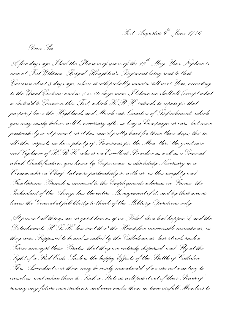*Fort Augustus 9th June 1746*

*Dear Sir*

*A few days ago I had the Pleasure of yours of the 19th May. Your Nephew is now at Fort William, Brigad<sup>r</sup>Houghton's Regiment being sent to that Garrison about 8 days ago, where it will probably remain 'till next Year, according to the Usual Custom; and in 8 or 10 days more I believe we shall all (except what is destin'd to Garrison this Fort, which H.R.H. intends to repair for that purpose) leave the Highlands and March into Quarters of Refreshment, which you may easily believe will be necessary after so long a Campaign as ours; but more particularly so at present, as it has rain'd pretty hard for these three days; tho' in all other respects we have plenty of Provisions for the Men, thro' the great care and Vigilance of H.R.H. who is an Excellent Providore as well as a General, which Quallification, you know by Experience, is absolutely Necessary in a Commander in Chief, but more particularly so with us, as this weighty and Troublesome Branch is annexed to the Employment: whereas in France, the Indendant of the Army, has the entire Management of it, and by that means leaves the General at full liberty to think of the Military Operations only.*

*At present all things are as quiet here as if no Rebel¬lion had happen'd, and the Detachments H.R.H. has sent thro' the Heretofore inaccessible mountains, as they were Supposed to be and so called by the Calledonians, has struck such a Terror amongst these Brutes, that they are entirely dispersed, and Fly at the Sight of a Red Coat. Such is the happy Effects of the Battle of Culloden. This Ascendant over them may be easily maintain'd, if we are not wanting to ourselves, and reduce them to Such a State as will put it out of their Power of raising any future insurrections, and even make them in time usefull Members to*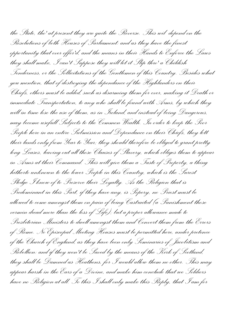*the State, tho' at present they are quite the Reverse. This wil depend on the Resolutions of both Houses of Parliament: and as they have the finest opportunity that ever offer'd, and the means in their Hands to Enforce the Laws they shall make, I can't Suppose they will let it Slip thro' a Childish Tenderness, or the Sollicitations of the Gentlemen of this Country. Besides what you mention, that of destroying the dependance of the Highlanders on their Chiefs, others must be added, such as disarming them for ever, making it Death or immediate Transportation, to any who shall be found with Arms, by which they will in time lose the use of them, as in Ireland, and instead of being Dangerous, may become usefull Subjects to the Common Wealth. In order to keep the Poor People here in an entire Submission and Dependance on their Chiefs, they lett their lands only from Year to Year; they should therefore be obliged to grant pretty long Leases, leaving out all those Clauses of Slavery, which obliges them to appear in Arms at their Command. This will give them a Taste of Property, a thing hitherto unknown to the lower People in this Country, which is the Surest Pledge I know of to Preserve their Loyalty. As the Religion that is Predominant in this Part, if they have any, is Popery, no Priest must be allowed to come amongst them on pain of being Castraited (a Punishment those vermin dread more than the loss of Life); but a proper allowance made to Presbiterian Ministers to dwell amongst them and Convert them from the Errors of Rome. No Episcopal Meeting Houses must be permitted here, under pretence of the Church of England, as they have been only Seminaries of Jacobitism and Rebellion: and if they won't be Saved by the means of the Kirk of Scotland, they shall be Damned as Heathens, for I would allow them no other. This may appear harsh in the Ears of a Divine, and make him conclude that we Soldiers have no Religion at all. To this I shall only make this Reply, that I am for*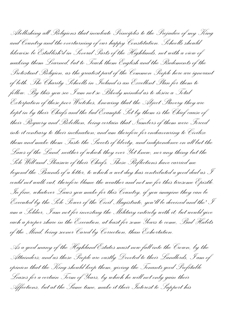*Abollishing all Religions that inculcate Principles to the Prejudice of my King and Country and the overturning of our happy Constitution. Schoolls should likewise be Establish'd in Several Parts of the Highlands, not with a view of making them Learned, but to Teach them English and the Rudements of the Protestant Religion, as the greatest part of the Common People here are ignorant of both. The Charity Schoolls in Ireland is an Excellent Plan for them to follow. By this you see I am not so Bloody minded as to desire a Total Exterpation of these poor Wretches, knowing that the Abject Slavery they are kept in by their Chiefs and the bad Example Set by them is the Chief cause of their Roguery and Rebellion, being certain that Numbers of them were Forced into it contrary to their inclination; and am therefore for endeavouring to Civilize them and make them Taste the Sweets of liberty, and independence on all but the Laws of the Land, neither of which they ever Yet knew, nor any thing but the Sole Will and Pleasure of their Chiefs. These Reflections have carried me beyond the Bounds of a letter, to which a wet day has contributed a good deal as I could not walk out, therefore blame the weather and not me for this tiresome Epistle. In fine, whatever Laws you make for this Country, if you imagine they can be Executed by the Sole Power of the Civil Magistrate, you'll be deceived and tho' I am a Soldier, I am not for investing the Military entirely with it; but would give each a proper share in the Execution, at least for some Years to come, Bad Habits of the Mind, being sooner Cured by Correction, than Exhortation.*

*As a good many of the Highland Estates must now fall into the Crown, by the Attainders; and as these People are vastly Devoted to their Landlords, I am of opinion that the King should keep them, giving the Tenants good Profitable Leases for a certain Term of Years, by which he will not only gain their Affections, but at the Same time, make it their Interest to Support his*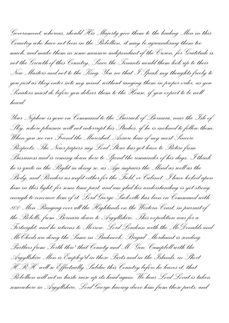*Government; whereas, should His Majesty give them to the leading Men in this Country who have not been in the Rebellion, it may be agreandising them too much, and make them in some measure independant of the Crown, for Gratitude is not the Growth of this Country, Since the Tenants would them look up to their New Masters and not to the King. You see that I Speak my thoughts freely to you just as they enter into my mind, without ranging them in proper order, as you Senators must do before you deliver them to the House, if you expect to be well heard.*

*Your Nephew is gone on Command to the Barrack of Bernara, near the Isle of Sky, where pleasure will not interrupt his Studies, if he is inclined to follow them. When you see our Friend the Mareshal, Assure him of my most Sincere Respects. The News papers say Lord Stour has got leave to Retire from Bussiness and is coming down here to Spend the remainder of his days. I think he is quite in the Right in doing so, as Age impairs the Mind as well as the Body, and Renders us unfit either for the Field, or Cabinet. I have looked upon him in this light, for some time past, and am glad his understanding is yet strong enough to convince him of it. Lord George Sackville has been on Command with 800 MenRanging over all the Highlands on the Western Coast, in pursuit of the Rebells, from Bernara down to Argyllshire. This expedition was for a Fortnight, and he returns to Morrow. Lord Loudoun with the McDonalds and McCleods are doing the Same in Badenock; Brigad<sup>r</sup> Mordaunt is sending Partlars from Perth thro' that County and M.: Gen: Campbell with the Argyllshire Men is Employ'd in those Parts and in the Islands, in Short H.R.H. will so Effectually Subdue this Country before he leaves it, that Rebellion will not in haste raise up its head again. We hear Lord Lovat is taken somewhere in Argyllshire, Lord George having drove him from these parts; and*